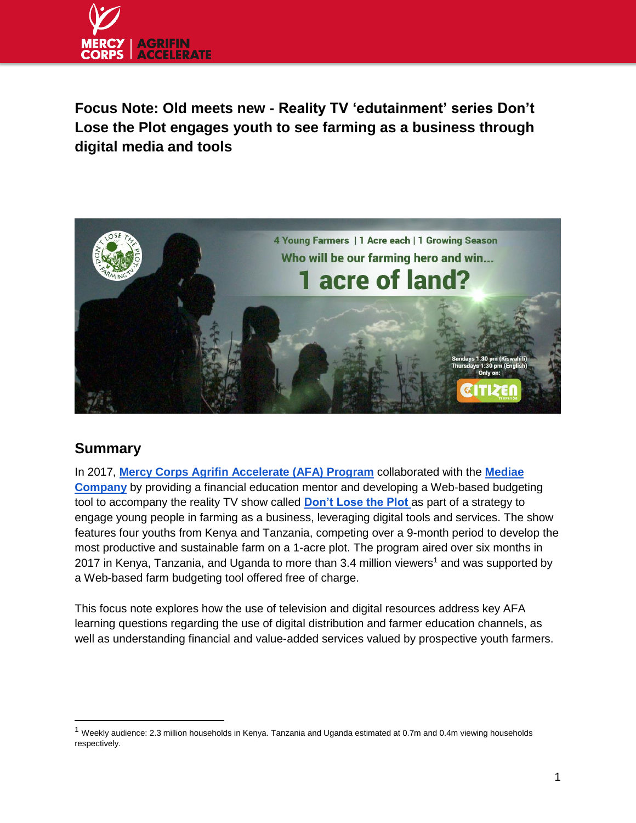

**Focus Note: Old meets new - Reality TV 'edutainment' series Don't Lose the Plot engages youth to see farming as a business through digital media and tools**



# **Summary**

 $\overline{a}$ 

In 2017, **[Mercy Corps Agrifin Accelerate \(AFA\) Program](http://www.mercycorpsafa.org/)** collaborated with the **[Mediae](http://www.mediae.org/)  [Company](http://www.mediae.org/)** by providing a financial education mentor and developing a Web-based budgeting tool to accompany the reality TV show called **[Don't Lose the Plot](https://dontlosetheplot.tv/en/))** as part of a strategy to engage young people in farming as a business, leveraging digital tools and services. The show features four youths from Kenya and Tanzania, competing over a 9-month period to develop the most productive and sustainable farm on a 1-acre plot. The program aired over six months in 2017 in Kenya, Tanzania, and Uganda to more than 3.4 million viewers<sup>1</sup> and was supported by a Web-based farm budgeting tool offered free of charge.

This focus note explores how the use of television and digital resources address key AFA learning questions regarding the use of digital distribution and farmer education channels, as well as understanding financial and value-added services valued by prospective youth farmers.

 $1$  Weekly audience: 2.3 million households in Kenya. Tanzania and Uganda estimated at 0.7m and 0.4m viewing households respectively.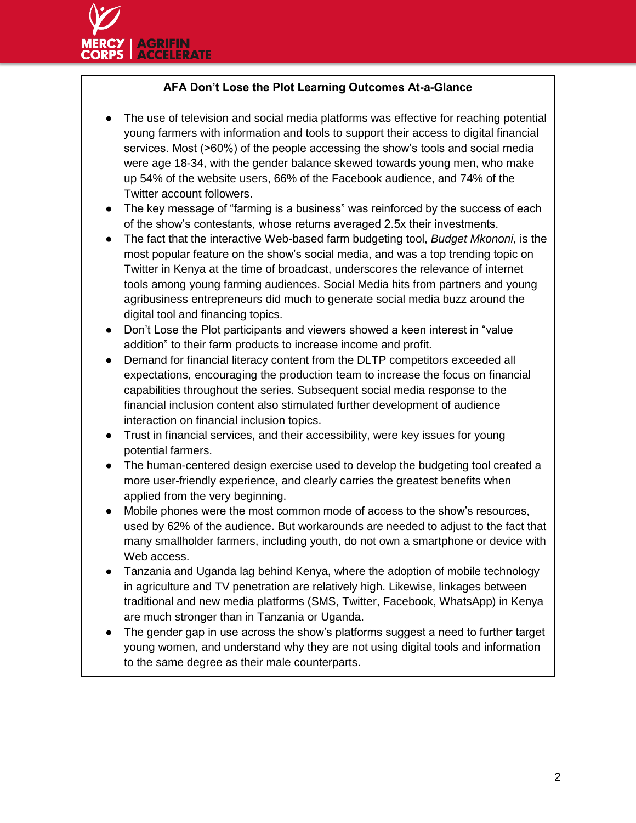## **AFA Don't Lose the Plot Learning Outcomes At-a-Glance**

- The use of television and social media platforms was effective for reaching potential young farmers with information and tools to support their access to digital financial services. Most (>60%) of the people accessing the show's tools and social media were age 18-34, with the gender balance skewed towards young men, who make up 54% of the website users, 66% of the Facebook audience, and 74% of the Twitter account followers.
- The key message of "farming is a business" was reinforced by the success of each of the show's contestants, whose returns averaged 2.5x their investments.
- The fact that the interactive Web-based farm budgeting tool, *Budget Mkononi*, is the most popular feature on the show's social media, and was a top trending topic on Twitter in Kenya at the time of broadcast, underscores the relevance of internet tools among young farming audiences. Social Media hits from partners and young agribusiness entrepreneurs did much to generate social media buzz around the digital tool and financing topics.
- Don't Lose the Plot participants and viewers showed a keen interest in "value addition" to their farm products to increase income and profit.
- Demand for financial literacy content from the DLTP competitors exceeded all expectations, encouraging the production team to increase the focus on financial capabilities throughout the series. Subsequent social media response to the financial inclusion content also stimulated further development of audience interaction on financial inclusion topics.
- Trust in financial services, and their accessibility, were key issues for young potential farmers.
- The human-centered design exercise used to develop the budgeting tool created a more user-friendly experience, and clearly carries the greatest benefits when applied from the very beginning.
- Mobile phones were the most common mode of access to the show's resources, used by 62% of the audience. But workarounds are needed to adjust to the fact that many smallholder farmers, including youth, do not own a smartphone or device with Web access.
- Tanzania and Uganda lag behind Kenya, where the adoption of mobile technology in agriculture and TV penetration are relatively high. Likewise, linkages between traditional and new media platforms (SMS, Twitter, Facebook, WhatsApp) in Kenya are much stronger than in Tanzania or Uganda.
- The gender gap in use across the show's platforms suggest a need to further target young women, and understand why they are not using digital tools and information to the same degree as their male counterparts.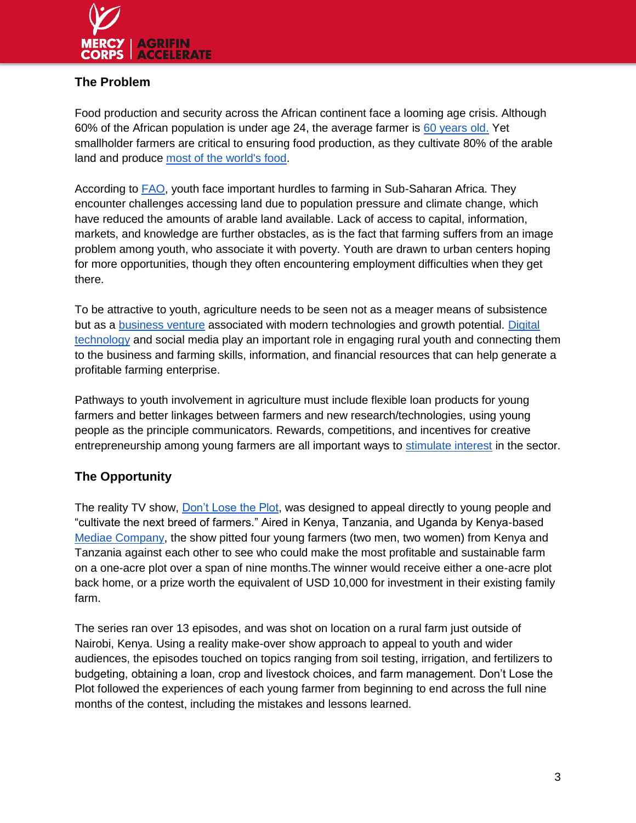

## **The Problem**

Food production and security across the African continent face a looming age crisis. Although 60% of the African population is under age 24, the average farmer i[s](http://www.un.org/en/ecosoc/integration/pdf/foodandagricultureorganization.pdf) [60 years old.](http://www.un.org/en/ecosoc/integration/pdf/foodandagricultureorganization.pdf) Yet smallholder farmers are critical to ensuring food production, as they cultivate 80% of the arable land and produc[e](http://www.cam.ac.uk/research/news/how-do-smallholder-farmers-fit-into-the-big-picture-of-world-food-production) [most of the world's food.](http://www.cam.ac.uk/research/news/how-do-smallholder-farmers-fit-into-the-big-picture-of-world-food-production)

According to [FAO,](https://www.ifad.org/topic/resource/tags/youth/1934117) youth face important hurdles to farming in Sub-Saharan Africa. They encounter challenges accessing land due to population pressure and climate change, which have reduced the amounts of arable land available. Lack of access to capital, information, markets, and knowledge are further obstacles, as is the fact that farming suffers from an image problem among youth, who associate it with poverty. Youth are drawn to urban centers hoping for more opportunities, though they often encountering employment difficulties when they get there.

To be attractive to youth, agriculture needs to be seen not as a meager means of subsistence but as a [business venture](https://canwefeedtheworld.wordpress.com/2014/04/25/9-ways-to-engage-youth-in-agriculture/) associated with modern technologies and growth potential[.](http://ypard.net/news/five-ways-engaging-youth-agriculture) [Digital](http://ypard.net/news/five-ways-engaging-youth-agriculture)  [technology](http://ypard.net/news/five-ways-engaging-youth-agriculture) and social media play an important role in engaging rural youth and connecting them to the business and farming skills, information, and financial resources that can help generate a profitable farming enterprise.

Pathways to youth involvement in agriculture must include flexible loan products for young farmers and better linkages between farmers and new research/technologies, using young people as the principle communicators. Rewards, competitions, and incentives for creative entrepreneurship am[o](http://ypard.net/2013-october-11/who-will-take-place-aging-african-farmer)ng young farmers are all important ways to [stimulate interest](http://ypard.net/2013-october-11/who-will-take-place-aging-african-farmer) in the sector.

# **The Opportunity**

The reality TV show, [Don't Lose the Plot,](http://dontlosetheplot.tv/) was designed to appeal directly to young people and "cultivate the next breed of farmers." Aired in Kenya, Tanzania, and Uganda by Kenya-base[d](http://www.mediae.org/) [Mediae Company,](http://www.mediae.org/) the show pitted four young farmers (two men, two women) from Kenya and Tanzania against each other to see who could make the most profitable and sustainable farm on a one-acre plot over a span of nine months.The winner would receive either a one-acre plot back home, or a prize worth the equivalent of USD 10,000 for investment in their existing family farm.

The series ran over 13 episodes, and was shot on location on a rural farm just outside of Nairobi, Kenya. Using a reality make-over show approach to appeal to youth and wider audiences, the episodes touched on topics ranging from soil testing, irrigation, and fertilizers to budgeting, obtaining a loan, crop and livestock choices, and farm management. Don't Lose the Plot followed the experiences of each young farmer from beginning to end across the full nine months of the contest, including the mistakes and lessons learned.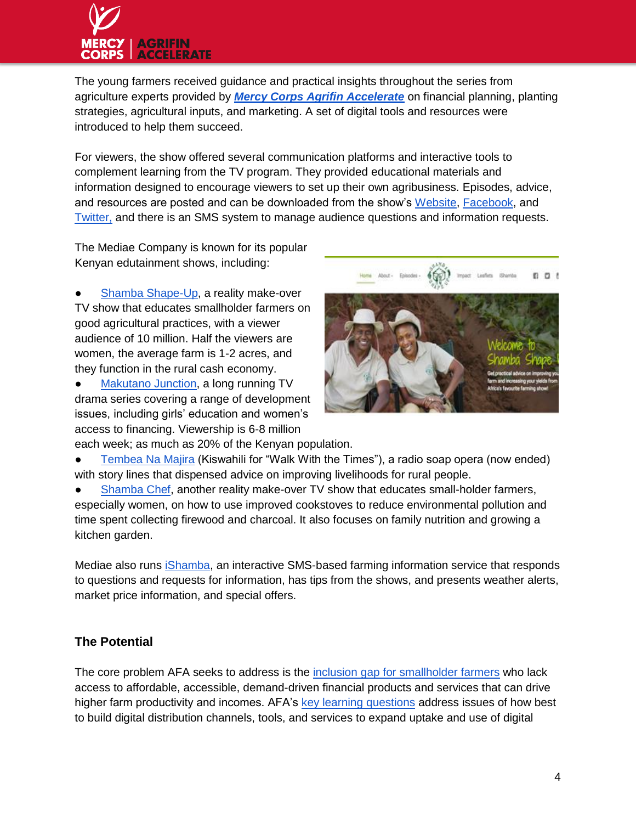# **AGRIFIN**

The young farmers received guidance and practical insights throughout the series from agriculture experts provided by *[Mercy Corps Agrifin Accelerate](http://www.mercycorpsafa.org/)* on financial planning, planting strategies, agricultural inputs, and marketing. A set of digital tools and resources were introduced to help them succeed.

For viewers, the show offered several communication platforms and interactive tools to complement learning from the TV program. They provided educational materials and information designed to encourage viewers to set up their own agribusiness. Episodes, advice, and resources are posted and can be downloaded from the show'[s](https://dontlosetheplot.tv/en/) [Website](https://dontlosetheplot.tv/en/)[,](https://www.facebook.com/DontLoseThePlot/) [Facebook,](https://www.facebook.com/DontLoseThePlot/) an[d](https://twitter.com/dltpTV) [Twitter,](https://twitter.com/dltpTV) and there is an SMS system to manage audience questions and information requests.

The Mediae Company is known for its popular Kenyan edutainment shows, including:

[Shamba Shape-Up,](http://www.mediae.org/productions-projects/tv-media/shamba-shape-up) a reality make-over TV show that educates smallholder farmers on good agricultural practices, with a viewer audience of 10 million. Half the viewers are women, the average farm is 1-2 acres, and they function in the rural cash economy.

[Makutano Junction,](http://www.mediae.org/productions-projects/tv-media/makutano-junction) a long running TV drama series covering a range of development issues, including girls' education and women's access to financing. Viewership is 6-8 million



each week; as much as 20% of the Kenyan population. [Tembea Na Majira](http://www.mediae.org/productions-projects/radio) (Kiswahili for "Walk With the Times"), a radio soap opera (now ended) with story lines that dispensed advice on improving livelihoods for rural people.

[Shamba Chef,](https://shambachef.com/) another reality make-over TV show that educates small-holder farmers, especially women, on how to use improved cookstoves to reduce environmental pollution and time spent collecting firewood and charcoal. It also focuses on family nutrition and growing a kitchen garden.

Mediae also runs [iShamba,](https://ishamba.com/) an interactive SMS-based farming information service that responds to questions and requests for information, has tips from the shows, and presents weather alerts, market price information, and special offers.

# **The Potential**

The core problem AFA seeks to address is the [inclusion gap for smallholder farmers](http://www.ifc.org/wps/wcm/connect/071dd78045eadb5cb067b99916182e35/A2F+for+Smallholder+Farmers-Final+English+Publication.pdf?MOD=AJPERES) who lack access to affordable, accessible, demand-driven financial products and services that can drive higher farm productivity and incomes. AFA's [key learning questions](http://mercycorpsafa.org/learning-agenda/) address issues of how best to build digital distribution channels, tools, and services to expand uptake and use of digital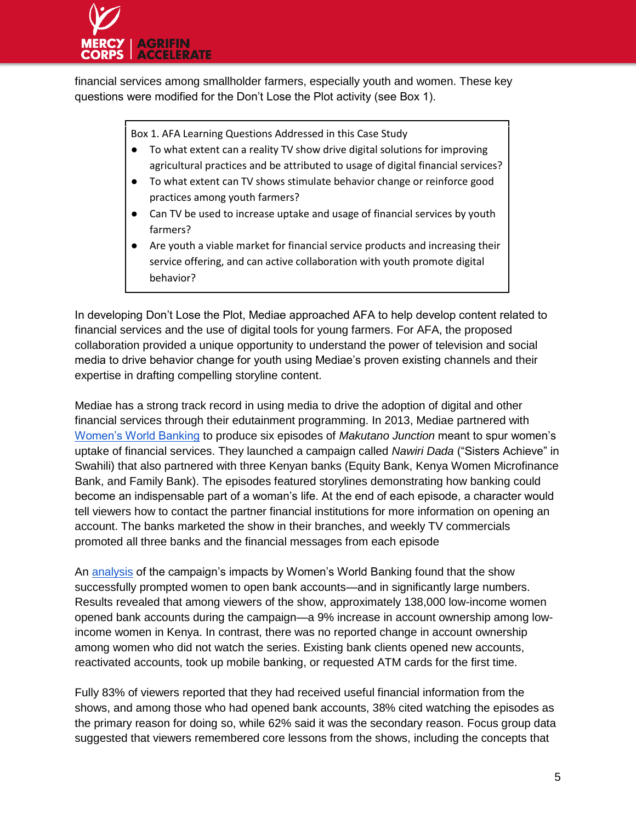

financial services among smallholder farmers, especially youth and women. These key questions were modified for the Don't Lose the Plot activity (see Box 1).

Box 1. AFA Learning Questions Addressed in this Case Study

- To what extent can a reality TV show drive digital solutions for improving agricultural practices and be attributed to usage of digital financial services?
- To what extent can TV shows stimulate behavior change or reinforce good practices among youth farmers?
- Can TV be used to increase uptake and usage of financial services by youth farmers?
- Are youth a viable market for financial service products and increasing their service offering, and can active collaboration with youth promote digital behavior?

In developing Don't Lose the Plot, Mediae approached AFA to help develop content related to financial services and the use of digital tools for young farmers. For AFA, the proposed collaboration provided a unique opportunity to understand the power of television and social media to drive behavior change for youth using Mediae's proven existing channels and their expertise in drafting compelling storyline content.

Mediae has a strong track record in using media to drive the adoption of digital and other financial services through their edutainment programming. In 2013, Mediae partnered wit[h](https://www.womensworldbanking.org/) [Women's World Banking](https://www.womensworldbanking.org/) to produce six episodes of *Makutano Junction* meant to spur women's uptake of financial services. They launched a campaign called *Nawiri Dada* ("Sisters Achieve" in Swahili) that also partnered with three Kenyan banks (Equity Bank, Kenya Women Microfinance Bank, and Family Bank). The episodes featured storylines demonstrating how banking could become an indispensable part of a woman's life. At the end of each episode, a character would tell viewers how to contact the partner financial institutions for more information on opening an account. The banks marketed the show in their branches, and weekly TV commercials promoted all three banks and the financial messages from each episode

A[n](http://www.womensworldbanking.org/publications/access-inclusion-educating-clients/) [analysis](http://www.womensworldbanking.org/publications/access-inclusion-educating-clients/) of the campaign's impacts by Women's World Banking found that the show successfully prompted women to open bank accounts—and in significantly large numbers. Results revealed that among viewers of the show, approximately 138,000 low-income women opened bank accounts during the campaign—a 9% increase in account ownership among lowincome women in Kenya. In contrast, there was no reported change in account ownership among women who did not watch the series. Existing bank clients opened new accounts, reactivated accounts, took up mobile banking, or requested ATM cards for the first time.

Fully 83% of viewers reported that they had received useful financial information from the shows, and among those who had opened bank accounts, 38% cited watching the episodes as the primary reason for doing so, while 62% said it was the secondary reason. Focus group data suggested that viewers remembered core lessons from the shows, including the concepts that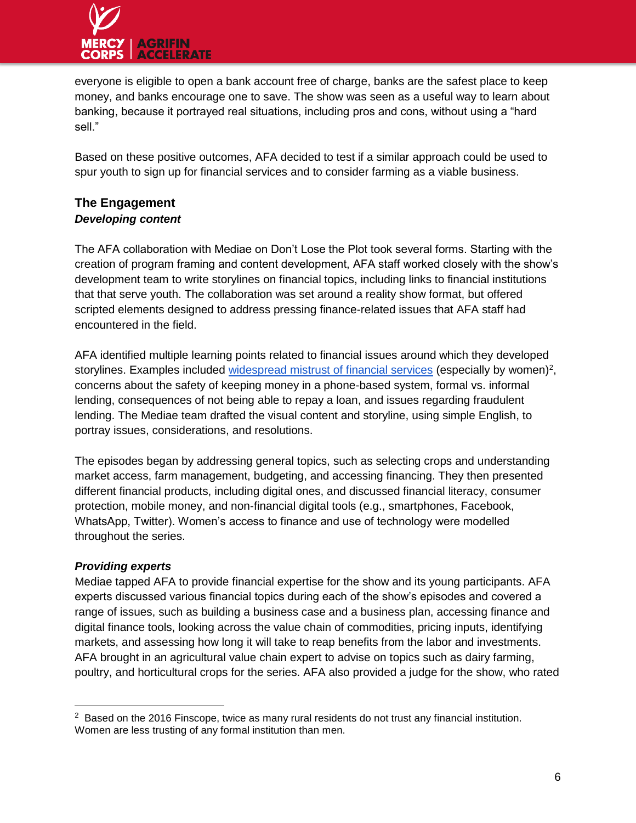

everyone is eligible to open a bank account free of charge, banks are the safest place to keep money, and banks encourage one to save. The show was seen as a useful way to learn about banking, because it portrayed real situations, including pros and cons, without using a "hard sell."

Based on these positive outcomes, AFA decided to test if a similar approach could be used to spur youth to sign up for financial services and to consider farming as a viable business.

## **The Engagement** *Developing content*

The AFA collaboration with Mediae on Don't Lose the Plot took several forms. Starting with the creation of program framing and content development, AFA staff worked closely with the show's development team to write storylines on financial topics, including links to financial institutions that that serve youth. The collaboration was set around a reality show format, but offered scripted elements designed to address pressing finance-related issues that AFA staff had encountered in the field.

AFA identified multiple learning points related to financial issues around which they developed storylines. Examples inclu[d](https://web.stanford.edu/~pdupas/Challenges_DupasEtAl2011.pdf)ed [widespread mistrust of financial services](https://web.stanford.edu/~pdupas/Challenges_DupasEtAl2011.pdf) (especially by women)<sup>2</sup>, concerns about the safety of keeping money in a phone-based system, formal vs. informal lending, consequences of not being able to repay a loan, and issues regarding fraudulent lending. The Mediae team drafted the visual content and storyline, using simple English, to portray issues, considerations, and resolutions.

The episodes began by addressing general topics, such as selecting crops and understanding market access, farm management, budgeting, and accessing financing. They then presented different financial products, including digital ones, and discussed financial literacy, consumer protection, mobile money, and non-financial digital tools (e.g., smartphones, Facebook, WhatsApp, Twitter). Women's access to finance and use of technology were modelled throughout the series.

## *Providing experts*

 $\overline{a}$ 

Mediae tapped AFA to provide financial expertise for the show and its young participants. AFA experts discussed various financial topics during each of the show's episodes and covered a range of issues, such as building a business case and a business plan, accessing finance and digital finance tools, looking across the value chain of commodities, pricing inputs, identifying markets, and assessing how long it will take to reap benefits from the labor and investments. AFA brought in an agricultural value chain expert to advise on topics such as dairy farming, poultry, and horticultural crops for the series. AFA also provided a judge for the show, who rated

 $2$  Based on the 2016 Finscope, twice as many rural residents do not trust any financial institution. Women are less trusting of any formal institution than men.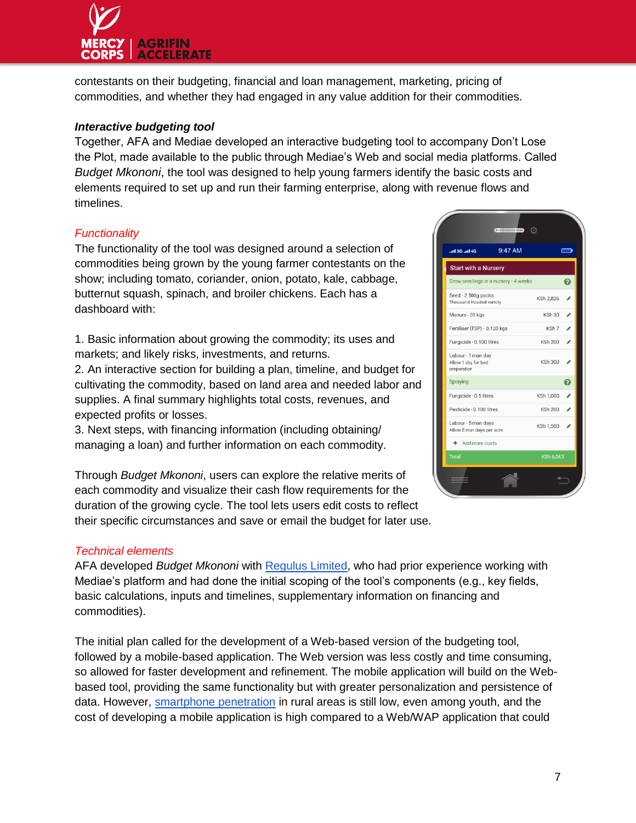

contestants on their budgeting, financial and loan management, marketing, pricing of commodities, and whether they had engaged in any value addition for their commodities.

#### *Interactive budgeting tool*

Together, AFA and Mediae developed an interactive budgeting tool to accompany Don't Lose the Plot, made available to the public through Mediae's Web and social media platforms. Called *Budget Mkononi*, the tool was designed to help young farmers identify the basic costs and elements required to set up and run their farming enterprise, along with revenue flows and timelines.

### *Functionality*

The functionality of the tool was designed around a selection of commodities being grown by the young farmer contestants on the show; including tomato, coriander, onion, potato, kale, cabbage, butternut squash, spinach, and broiler chickens. Each has a dashboard with:

1. Basic information about growing the commodity; its uses and markets; and likely risks, investments, and returns.

2. An interactive section for building a plan, timeline, and budget for cultivating the commodity, based on land area and needed labor and supplies. A final summary highlights total costs, revenues, and expected profits or losses.

3. Next steps, with financing information (including obtaining/ managing a loan) and further information on each commodity.

Through *Budget Mkononi*, users can explore the relative merits of each commodity and visualize their cash flow requirements for the duration of the growing cycle. The tool lets users edit costs to reflect their specific circumstances and save or email the budget for later use.



#### *Technical elements*

AFA developed *Budget Mkononi* with [Regulus Limited,](https://regulusweb.com/) who had prior experience working with Mediae's platform and had done the initial scoping of the tool's components (e.g., key fields, basic calculations, inputs and timelines, supplementary information on financing and commodities).

The initial plan called for the development of a Web-based version of the budgeting tool, followed by a mobile-based application. The Web version was less costly and time consuming, so allowed for faster development and refinement. The mobile application will build on the Webbased tool, providing the same functionality but with greater personalization and persistence of data. However[,](http://www.modernmom.co.ke/2017/04/white-paper-2017-trends-from-kenyan.html) [smartphone penetration](http://www.modernmom.co.ke/2017/04/white-paper-2017-trends-from-kenyan.html) in rural areas is still low, even among youth, and the cost of developing a mobile application is high compared to a Web/WAP application that could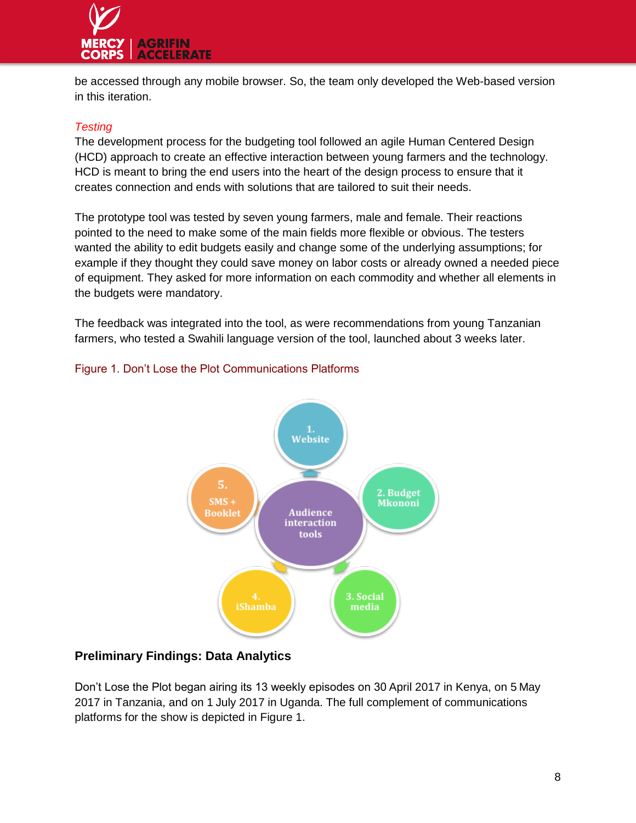

be accessed through any mobile browser. So, the team only developed the Web-based version in this iteration.

## *Testing*

The development process for the budgeting tool followed an agile Human Centered Design (HCD) approach to create an effective interaction between young farmers and the technology. HCD is meant to bring the end users into the heart of the design process to ensure that it creates connection and ends with solutions that are tailored to suit their needs.

The prototype tool was tested by seven young farmers, male and female. Their reactions pointed to the need to make some of the main fields more flexible or obvious. The testers wanted the ability to edit budgets easily and change some of the underlying assumptions; for example if they thought they could save money on labor costs or already owned a needed piece of equipment. They asked for more information on each commodity and whether all elements in the budgets were mandatory.

The feedback was integrated into the tool, as were recommendations from young Tanzanian farmers, who tested a Swahili language version of the tool, launched about 3 weeks later.



# Figure 1. Don't Lose the Plot Communications Platforms

## **Preliminary Findings: Data Analytics**

Don't Lose the Plot began airing its 13 weekly episodes on 30 April 2017 in Kenya, on 5 May 2017 in Tanzania, and on 1 July 2017 in Uganda. The full complement of communications platforms for the show is depicted in Figure 1.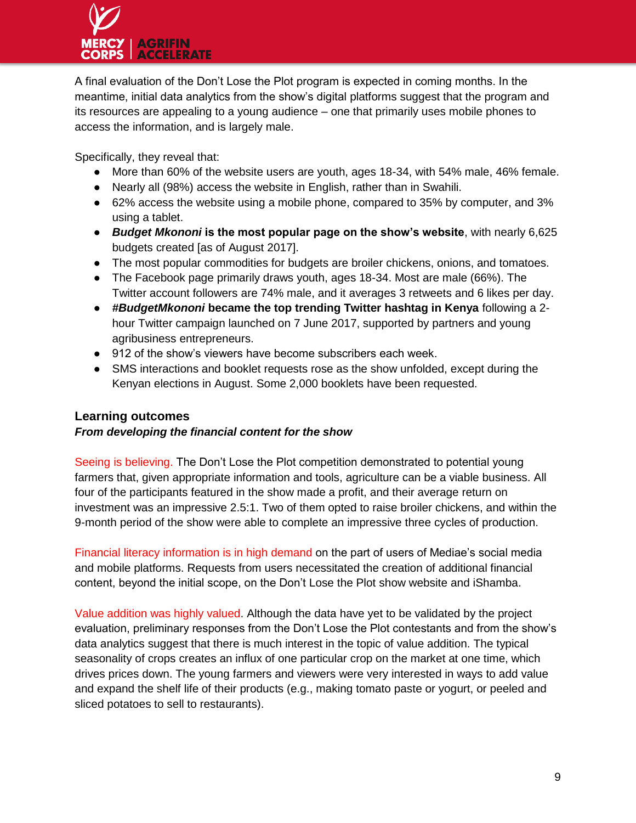

A final evaluation of the Don't Lose the Plot program is expected in coming months. In the meantime, initial data analytics from the show's digital platforms suggest that the program and its resources are appealing to a young audience – one that primarily uses mobile phones to access the information, and is largely male.

Specifically, they reveal that:

- More than 60% of the website users are youth, ages 18-34, with 54% male, 46% female.
- Nearly all (98%) access the website in English, rather than in Swahili.
- 62% access the website using a mobile phone, compared to 35% by computer, and 3% using a tablet.
- *Budget Mkononi* **is the most popular page on the show's website**, with nearly 6,625 budgets created [as of August 2017].
- The most popular commodities for budgets are broiler chickens, onions, and tomatoes.
- The Facebook page primarily draws youth, ages 18-34. Most are male (66%). The Twitter account followers are 74% male, and it averages 3 retweets and 6 likes per day.
- *#BudgetMkononi* **became the top trending Twitter hashtag in Kenya** following a 2 hour Twitter campaign launched on 7 June 2017, supported by partners and young agribusiness entrepreneurs.
- 912 of the show's viewers have become subscribers each week.
- SMS interactions and booklet requests rose as the show unfolded, except during the Kenyan elections in August. Some 2,000 booklets have been requested.

#### **Learning outcomes**

#### *From developing the financial content for the show*

Seeing is believing. The Don't Lose the Plot competition demonstrated to potential young farmers that, given appropriate information and tools, agriculture can be a viable business. All four of the participants featured in the show made a profit, and their average return on investment was an impressive 2.5:1. Two of them opted to raise broiler chickens, and within the 9-month period of the show were able to complete an impressive three cycles of production.

Financial literacy information is in high demand on the part of users of Mediae's social media and mobile platforms. Requests from users necessitated the creation of additional financial content, beyond the initial scope, on the Don't Lose the Plot show website and iShamba.

Value addition was highly valued. Although the data have yet to be validated by the project evaluation, preliminary responses from the Don't Lose the Plot contestants and from the show's data analytics suggest that there is much interest in the topic of value addition. The typical seasonality of crops creates an influx of one particular crop on the market at one time, which drives prices down. The young farmers and viewers were very interested in ways to add value and expand the shelf life of their products (e.g., making tomato paste or yogurt, or peeled and sliced potatoes to sell to restaurants).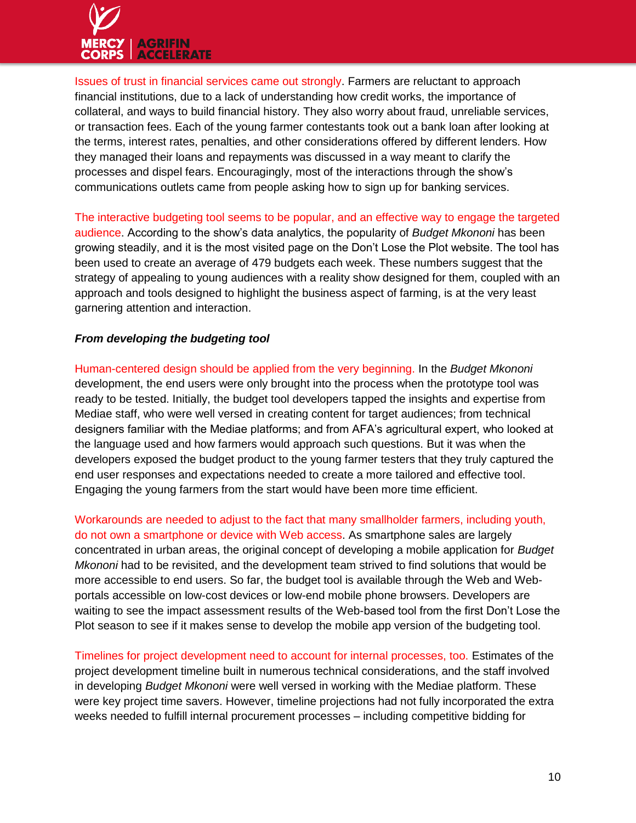

Issues of trust in financial services came out strongly. Farmers are reluctant to approach financial institutions, due to a lack of understanding how credit works, the importance of collateral, and ways to build financial history. They also worry about fraud, unreliable services, or transaction fees. Each of the young farmer contestants took out a bank loan after looking at the terms, interest rates, penalties, and other considerations offered by different lenders. How they managed their loans and repayments was discussed in a way meant to clarify the processes and dispel fears. Encouragingly, most of the interactions through the show's communications outlets came from people asking how to sign up for banking services.

The interactive budgeting tool seems to be popular, and an effective way to engage the targeted audience. According to the show's data analytics, the popularity of *Budget Mkononi* has been growing steadily, and it is the most visited page on the Don't Lose the Plot website. The tool has been used to create an average of 479 budgets each week. These numbers suggest that the strategy of appealing to young audiences with a reality show designed for them, coupled with an approach and tools designed to highlight the business aspect of farming, is at the very least garnering attention and interaction.

#### *From developing the budgeting tool*

Human-centered design should be applied from the very beginning. In the *Budget Mkononi* development, the end users were only brought into the process when the prototype tool was ready to be tested. Initially, the budget tool developers tapped the insights and expertise from Mediae staff, who were well versed in creating content for target audiences; from technical designers familiar with the Mediae platforms; and from AFA's agricultural expert, who looked at the language used and how farmers would approach such questions. But it was when the developers exposed the budget product to the young farmer testers that they truly captured the end user responses and expectations needed to create a more tailored and effective tool. Engaging the young farmers from the start would have been more time efficient.

Workarounds are needed to adjust to the fact that many smallholder farmers, including youth, do not own a smartphone or device with Web access. As smartphone sales are largely concentrated in urban areas, the original concept of developing a mobile application for *Budget Mkononi* had to be revisited, and the development team strived to find solutions that would be more accessible to end users. So far, the budget tool is available through the Web and Webportals accessible on low-cost devices or low-end mobile phone browsers. Developers are waiting to see the impact assessment results of the Web-based tool from the first Don't Lose the Plot season to see if it makes sense to develop the mobile app version of the budgeting tool.

Timelines for project development need to account for internal processes, too. Estimates of the project development timeline built in numerous technical considerations, and the staff involved in developing *Budget Mkononi* were well versed in working with the Mediae platform. These were key project time savers. However, timeline projections had not fully incorporated the extra weeks needed to fulfill internal procurement processes – including competitive bidding for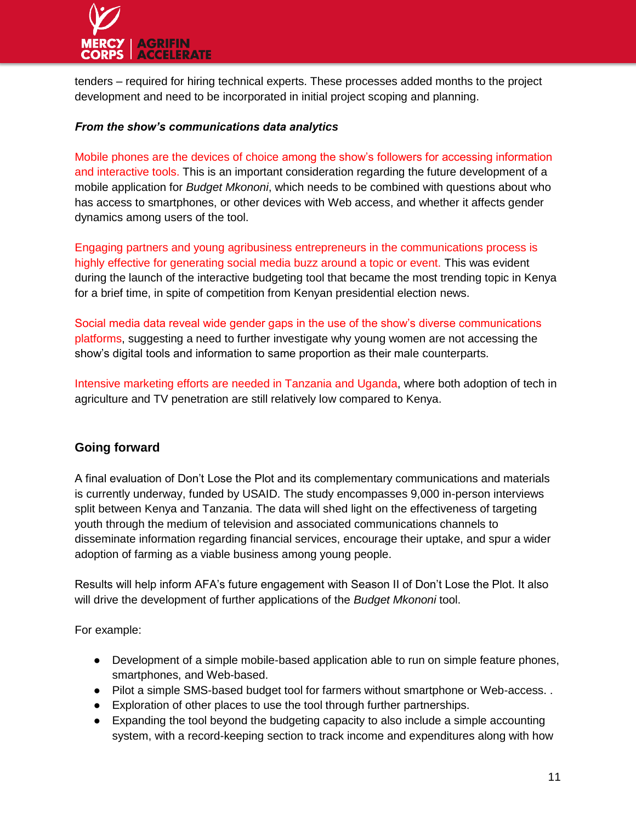

tenders – required for hiring technical experts. These processes added months to the project development and need to be incorporated in initial project scoping and planning.

#### *From the show's communications data analytics*

Mobile phones are the devices of choice among the show's followers for accessing information and interactive tools. This is an important consideration regarding the future development of a mobile application for *Budget Mkononi*, which needs to be combined with questions about who has access to smartphones, or other devices with Web access, and whether it affects gender dynamics among users of the tool.

Engaging partners and young agribusiness entrepreneurs in the communications process is highly effective for generating social media buzz around a topic or event. This was evident during the launch of the interactive budgeting tool that became the most trending topic in Kenya for a brief time, in spite of competition from Kenyan presidential election news.

Social media data reveal wide gender gaps in the use of the show's diverse communications platforms, suggesting a need to further investigate why young women are not accessing the show's digital tools and information to same proportion as their male counterparts.

Intensive marketing efforts are needed in Tanzania and Uganda, where both adoption of tech in agriculture and TV penetration are still relatively low compared to Kenya.

#### **Going forward**

A final evaluation of Don't Lose the Plot and its complementary communications and materials is currently underway, funded by USAID. The study encompasses 9,000 in-person interviews split between Kenya and Tanzania. The data will shed light on the effectiveness of targeting youth through the medium of television and associated communications channels to disseminate information regarding financial services, encourage their uptake, and spur a wider adoption of farming as a viable business among young people.

Results will help inform AFA's future engagement with Season II of Don't Lose the Plot. It also will drive the development of further applications of the *Budget Mkononi* tool.

For example:

- Development of a simple mobile-based application able to run on simple feature phones, smartphones, and Web-based.
- Pilot a simple SMS-based budget tool for farmers without smartphone or Web-access. .
- Exploration of other places to use the tool through further partnerships.
- Expanding the tool beyond the budgeting capacity to also include a simple accounting system, with a record-keeping section to track income and expenditures along with how